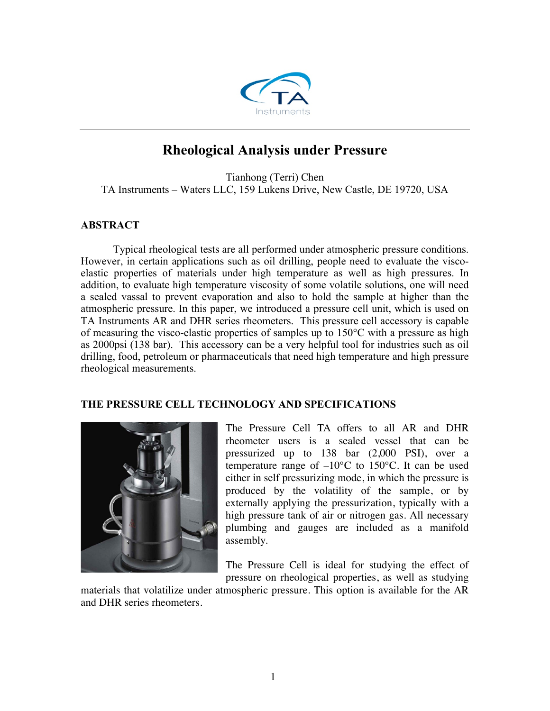

# **Rheological Analysis under Pressure**

Tianhong (Terri) Chen TA Instruments – Waters LLC, 159 Lukens Drive, New Castle, DE 19720, USA

## **ABSTRACT**

Typical rheological tests are all performed under atmospheric pressure conditions. However, in certain applications such as oil drilling, people need to evaluate the viscoelastic properties of materials under high temperature as well as high pressures. In addition, to evaluate high temperature viscosity of some volatile solutions, one will need a sealed vassal to prevent evaporation and also to hold the sample at higher than the atmospheric pressure. In this paper, we introduced a pressure cell unit, which is used on TA Instruments AR and DHR series rheometers. This pressure cell accessory is capable of measuring the visco-elastic properties of samples up to 150°C with a pressure as high as 2000psi (138 bar). This accessory can be a very helpful tool for industries such as oil drilling, food, petroleum or pharmaceuticals that need high temperature and high pressure rheological measurements.

## **THE PRESSURE CELL TECHNOLOGY AND SPECIFICATIONS**



The Pressure Cell TA offers to all AR and DHR rheometer users is a sealed vessel that can be pressurized up to 138 bar (2,000 PSI), over a temperature range of  $-10^{\circ}$ C to 150 $^{\circ}$ C. It can be used either in self pressurizing mode, in which the pressure is produced by the volatility of the sample, or by externally applying the pressurization, typically with a high pressure tank of air or nitrogen gas. All necessary plumbing and gauges are included as a manifold assembly.

The Pressure Cell is ideal for studying the effect of pressure on rheological properties, as well as studying

materials that volatilize under atmospheric pressure. This option is available for the AR and DHR series rheometers.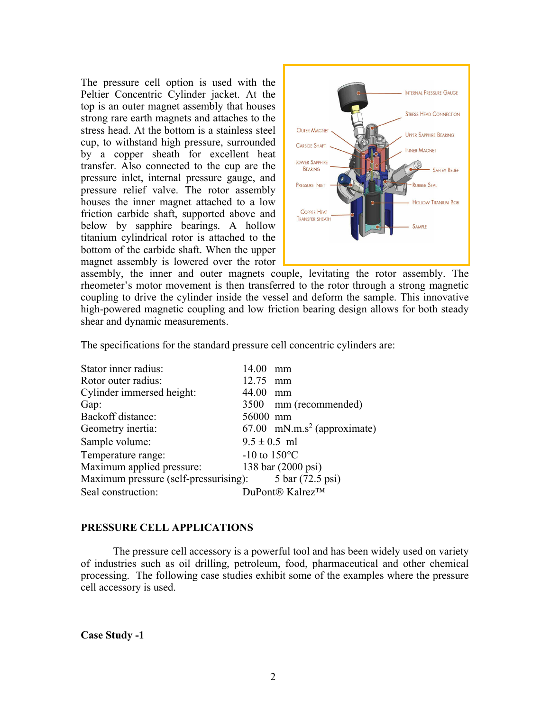The pressure cell option is used with the Peltier Concentric Cylinder jacket. At the top is an outer magnet assembly that houses strong rare earth magnets and attaches to the stress head. At the bottom is a stainless steel cup, to withstand high pressure, surrounded by a copper sheath for excellent heat transfer. Also connected to the cup are the pressure inlet, internal pressure gauge, and pressure relief valve. The rotor assembly houses the inner magnet attached to a low friction carbide shaft, supported above and below by sapphire bearings. A hollow titanium cylindrical rotor is attached to the bottom of the carbide shaft. When the upper magnet assembly is lowered over the rotor



assembly, the inner and outer magnets couple, levitating the rotor assembly. The rheometer's motor movement is then transferred to the rotor through a strong magnetic coupling to drive the cylinder inside the vessel and deform the sample. This innovative high-powered magnetic coupling and low friction bearing design allows for both steady shear and dynamic measurements.

The specifications for the standard pressure cell concentric cylinders are:

| Stator inner radius:                                   | 14.00<br>mm                               |
|--------------------------------------------------------|-------------------------------------------|
| Rotor outer radius:                                    | 12.75 mm                                  |
| Cylinder immersed height:                              | 44.00<br>mm                               |
| Gap:                                                   | 3500 mm (recommended)                     |
| Backoff distance:                                      | 56000 mm                                  |
| Geometry inertia:                                      | $67.00$ mN.m.s <sup>2</sup> (approximate) |
| Sample volume:                                         | $9.5 \pm 0.5$ ml                          |
| Temperature range:                                     | $-10$ to $150^{\circ}$ C                  |
| Maximum applied pressure:                              | 138 bar (2000 psi)                        |
| Maximum pressure (self-pressurising): 5 bar (72.5 psi) |                                           |
| Seal construction:                                     | DuPont <sup>®</sup> Kalrez <sup>™</sup>   |

## **PRESSURE CELL APPLICATIONS**

The pressure cell accessory is a powerful tool and has been widely used on variety of industries such as oil drilling, petroleum, food, pharmaceutical and other chemical processing. The following case studies exhibit some of the examples where the pressure cell accessory is used.

**Case Study -1**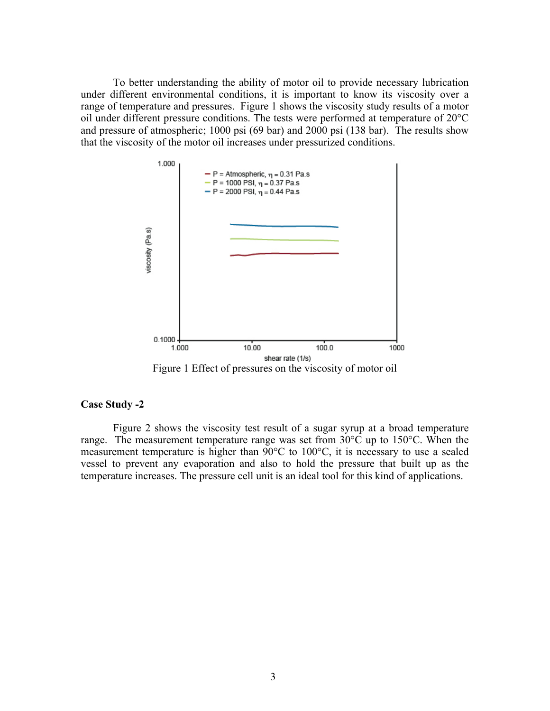To better understanding the ability of motor oil to provide necessary lubrication under different environmental conditions, it is important to know its viscosity over a range of temperature and pressures. Figure 1 shows the viscosity study results of a motor oil under different pressure conditions. The tests were performed at temperature of 20°C and pressure of atmospheric; 1000 psi (69 bar) and 2000 psi (138 bar). The results show that the viscosity of the motor oil increases under pressurized conditions.



### **Case Study -2**

Figure 2 shows the viscosity test result of a sugar syrup at a broad temperature range. The measurement temperature range was set from  $30^{\circ}$ C up to 150 $^{\circ}$ C. When the measurement temperature is higher than 90°C to 100°C, it is necessary to use a sealed vessel to prevent any evaporation and also to hold the pressure that built up as the temperature increases. The pressure cell unit is an ideal tool for this kind of applications.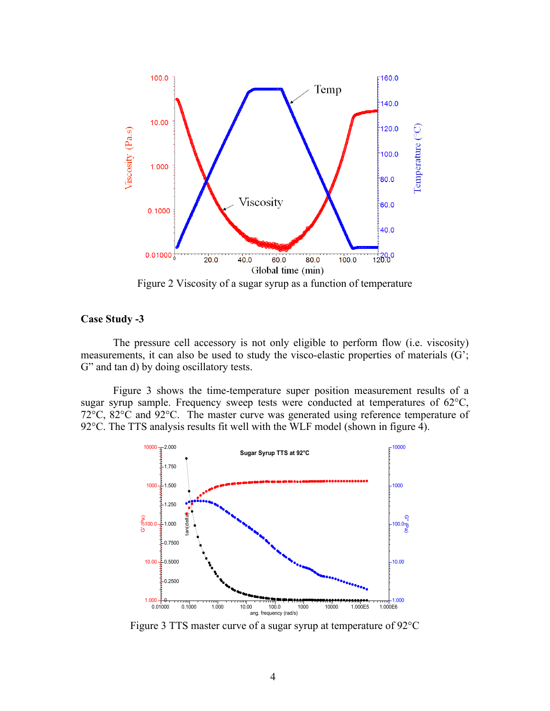

Figure 2 Viscosity of a sugar syrup as a function of temperature

### **Case Study -3**

The pressure cell accessory is not only eligible to perform flow (i.e. viscosity) measurements, it can also be used to study the visco-elastic properties of materials (G'; G" and tan d) by doing oscillatory tests.

Figure 3 shows the time-temperature super position measurement results of a sugar syrup sample. Frequency sweep tests were conducted at temperatures of 62°C, 72°C, 82°C and 92°C. The master curve was generated using reference temperature of 92°C. The TTS analysis results fit well with the WLF model (shown in figure 4).



Figure 3 TTS master curve of a sugar syrup at temperature of 92°C